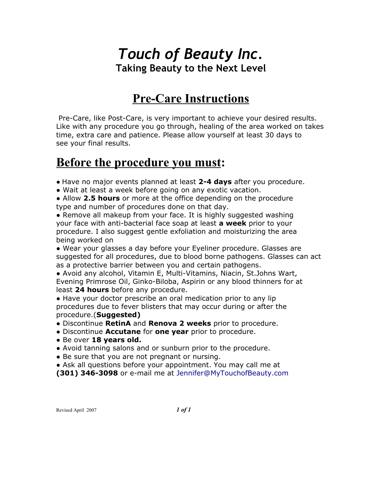## *Touch of Beauty Inc.* **Taking Beauty to the Next Level**

### **Pre-Care Instructions**

 Pre-Care, like Post-Care, is very important to achieve your desired results. Like with any procedure you go through, healing of the area worked on takes time, extra care and patience. Please allow yourself at least 30 days to see your final results.

### **Before the procedure you must:**

● Have no major events planned at least **2-4 days** after you procedure.

● Wait at least a week before going on any exotic vacation.

● Allow **2.5 hours** or more at the office depending on the procedure type and number of procedures done on that day.

• Remove all makeup from your face. It is highly suggested washing your face with anti-bacterial face soap at least **a week** prior to your procedure. I also suggest gentle exfoliation and moisturizing the area being worked on

● Wear your glasses a day before your Eyeliner procedure. Glasses are suggested for all procedures, due to blood borne pathogens. Glasses can act as a protective barrier between you and certain pathogens.

● Avoid any alcohol, Vitamin E, Multi-Vitamins, Niacin, St.Johns Wart, Evening Primrose Oil, Ginko-Biloba, Aspirin or any blood thinners for at least **24 hours** before any procedure.

• Have your doctor prescribe an oral medication prior to any lip procedures due to fever blisters that may occur during or after the procedure.(**Suggested)**

- Discontinue **RetinA** and **Renova 2 weeks** prior to procedure.
- Discontinue **Accutane** for **one year** prior to procedure.
- Be over **18 years old.**
- Avoid tanning salons and or sunburn prior to the procedure.
- Be sure that you are not pregnant or nursing.

• Ask all questions before your appointment. You may call me at

**(301) 346-3098** or e-mail me at Jennifer@MyTouchofBeauty.com

Revised April 2007 *1 of 1*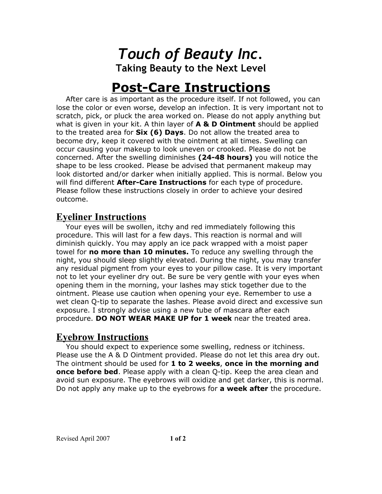*Touch of Beauty Inc.* **Taking Beauty to the Next Level**

# **Post-Care Instructions**

 After care is as important as the procedure itself. If not followed, you can lose the color or even worse, develop an infection. It is very important not to scratch, pick, or pluck the area worked on. Please do not apply anything but what is given in your kit. A thin layer of **A & D Ointment** should be applied to the treated area for **Six (6) Days**. Do not allow the treated area to become dry, keep it covered with the ointment at all times. Swelling can occur causing your makeup to look uneven or crooked. Please do not be concerned. After the swelling diminishes **(24-48 hours)** you will notice the shape to be less crooked. Please be advised that permanent makeup may look distorted and/or darker when initially applied. This is normal. Below you will find different **After-Care Instructions** for each type of procedure. Please follow these instructions closely in order to achieve your desired outcome.

#### **Eyeliner Instructions**

 Your eyes will be swollen, itchy and red immediately following this procedure. This will last for a few days. This reaction is normal and will diminish quickly. You may apply an ice pack wrapped with a moist paper towel for **no more than 10 minutes.** To reduce any swelling through the night, you should sleep slightly elevated. During the night, you may transfer any residual pigment from your eyes to your pillow case. It is very important not to let your eyeliner dry out. Be sure be very gentle with your eyes when opening them in the morning, your lashes may stick together due to the ointment. Please use caution when opening your eye. Remember to use a wet clean Q-tip to separate the lashes. Please avoid direct and excessive sun exposure. I strongly advise using a new tube of mascara after each procedure. **DO NOT WEAR MAKE UP for 1 week** near the treated area.

### **Eyebrow Instructions**

 You should expect to experience some swelling, redness or itchiness. Please use the A & D Ointment provided. Please do not let this area dry out. The ointment should be used for **1 to 2 weeks**, **once in the morning and once before bed**. Please apply with a clean Q-tip. Keep the area clean and avoid sun exposure. The eyebrows will oxidize and get darker, this is normal. Do not apply any make up to the eyebrows for **a week after** the procedure.